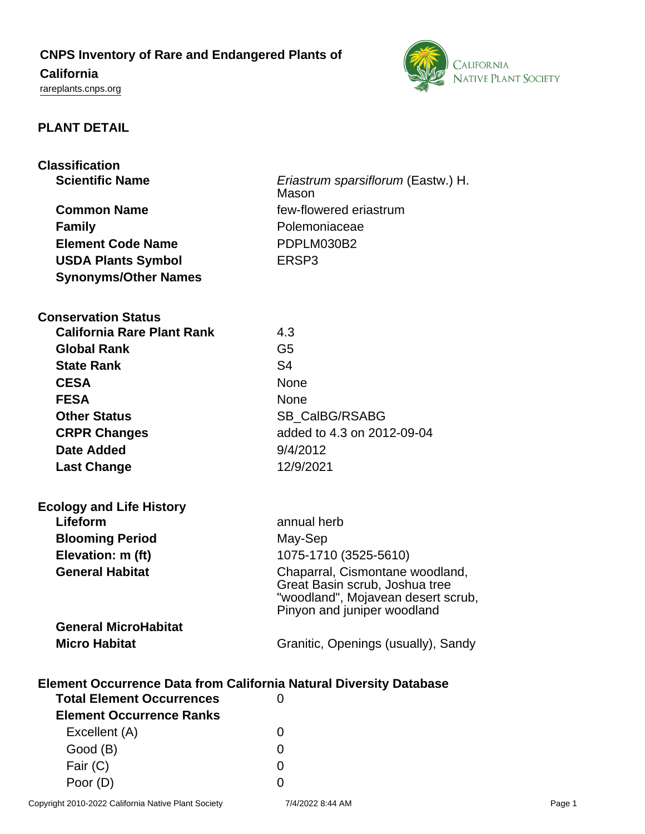# **CNPS Inventory of Rare and Endangered Plants of**

# **California**

<rareplants.cnps.org>



# **PLANT DETAIL**

| <b>Classification</b>                                                                                              |                                                                                                                                        |
|--------------------------------------------------------------------------------------------------------------------|----------------------------------------------------------------------------------------------------------------------------------------|
| <b>Scientific Name</b>                                                                                             | Eriastrum sparsiflorum (Eastw.) H.<br>Mason                                                                                            |
| <b>Common Name</b>                                                                                                 | few-flowered eriastrum                                                                                                                 |
| <b>Family</b>                                                                                                      | Polemoniaceae                                                                                                                          |
| <b>Element Code Name</b>                                                                                           | PDPLM030B2                                                                                                                             |
| <b>USDA Plants Symbol</b>                                                                                          | ERSP <sub>3</sub>                                                                                                                      |
| <b>Synonyms/Other Names</b>                                                                                        |                                                                                                                                        |
|                                                                                                                    |                                                                                                                                        |
| <b>Conservation Status</b>                                                                                         |                                                                                                                                        |
| <b>California Rare Plant Rank</b>                                                                                  | 4.3                                                                                                                                    |
| <b>Global Rank</b>                                                                                                 | G <sub>5</sub>                                                                                                                         |
| <b>State Rank</b>                                                                                                  | S <sub>4</sub>                                                                                                                         |
| <b>CESA</b>                                                                                                        | <b>None</b>                                                                                                                            |
| <b>FESA</b>                                                                                                        | <b>None</b>                                                                                                                            |
| <b>Other Status</b>                                                                                                | <b>SB CalBG/RSABG</b>                                                                                                                  |
| <b>CRPR Changes</b>                                                                                                | added to 4.3 on 2012-09-04                                                                                                             |
| <b>Date Added</b>                                                                                                  | 9/4/2012                                                                                                                               |
| <b>Last Change</b>                                                                                                 | 12/9/2021                                                                                                                              |
| <b>Ecology and Life History</b>                                                                                    |                                                                                                                                        |
| Lifeform                                                                                                           | annual herb                                                                                                                            |
| <b>Blooming Period</b>                                                                                             | May-Sep                                                                                                                                |
| Elevation: m (ft)                                                                                                  | 1075-1710 (3525-5610)                                                                                                                  |
| <b>General Habitat</b>                                                                                             | Chaparral, Cismontane woodland,<br>Great Basin scrub, Joshua tree<br>"woodland", Mojavean desert scrub,<br>Pinyon and juniper woodland |
| <b>General MicroHabitat</b>                                                                                        |                                                                                                                                        |
| <b>Micro Habitat</b>                                                                                               | Granitic, Openings (usually), Sandy                                                                                                    |
| <b>Element Occurrence Data from California Natural Diversity Database</b><br><b>Total Element Occurrences</b><br>0 |                                                                                                                                        |
| <b>Element Occurrence Ranks</b>                                                                                    |                                                                                                                                        |
| Excellent (A)                                                                                                      | 0                                                                                                                                      |
| Good (B)                                                                                                           | 0                                                                                                                                      |
| Fair (C)                                                                                                           | 0                                                                                                                                      |

Poor (D) 0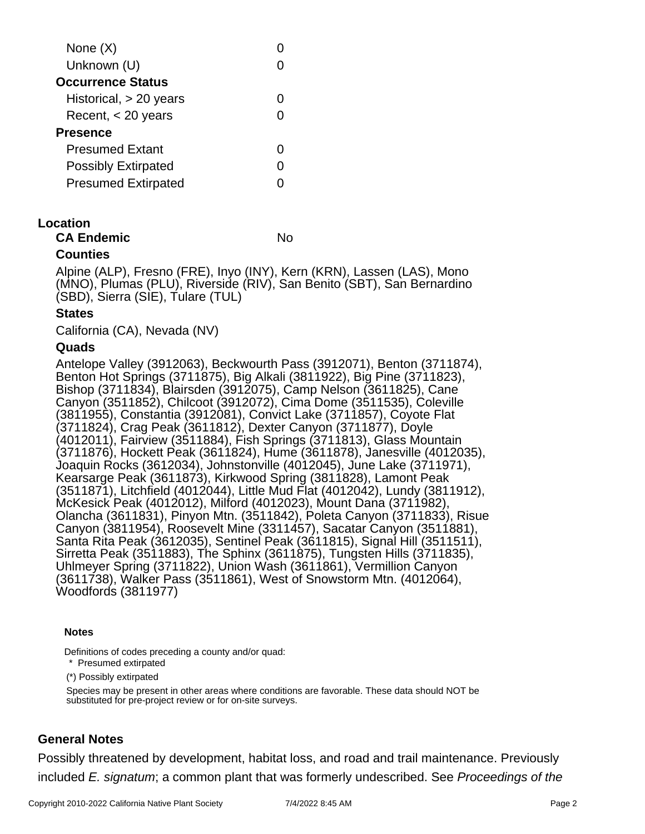| None $(X)$                 |  |
|----------------------------|--|
| Unknown (U)                |  |
| <b>Occurrence Status</b>   |  |
| Historical, $> 20$ years   |  |
| Recent, $<$ 20 years       |  |
| <b>Presence</b>            |  |
| <b>Presumed Extant</b>     |  |
| <b>Possibly Extirpated</b> |  |
| <b>Presumed Extirpated</b> |  |
|                            |  |

## **Location**

### **CA Endemic** No

# **Counties**

Alpine (ALP), Fresno (FRE), Inyo (INY), Kern (KRN), Lassen (LAS), Mono (MNO), Plumas (PLU), Riverside (RIV), San Benito (SBT), San Bernardino (SBD), Sierra (SIE), Tulare (TUL)

## **States**

California (CA), Nevada (NV)

## **Quads**

Antelope Valley (3912063), Beckwourth Pass (3912071), Benton (3711874), Benton Hot Springs (3711875), Big Alkali (3811922), Big Pine (3711823), Bishop (3711834), Blairsden (3912075), Camp Nelson (3611825), Cane Canyon (3511852), Chilcoot (3912072), Cima Dome (3511535), Coleville (3811955), Constantia (3912081), Convict Lake (3711857), Coyote Flat (3711824), Crag Peak (3611812), Dexter Canyon (3711877), Doyle (4012011), Fairview (3511884), Fish Springs (3711813), Glass Mountain (3711876), Hockett Peak (3611824), Hume (3611878), Janesville (4012035), Joaquin Rocks (3612034), Johnstonville (4012045), June Lake (3711971), Kearsarge Peak (3611873), Kirkwood Spring (3811828), Lamont Peak (3511871), Litchfield (4012044), Little Mud Flat (4012042), Lundy (3811912), McKesick Peak (4012012), Milford (4012023), Mount Dana (3711982), Olancha (3611831), Pinyon Mtn. (3511842), Poleta Canyon (3711833), Risue Canyon (3811954), Roosevelt Mine (3311457), Sacatar Canyon (3511881), Santa Rita Peak (3612035), Sentinel Peak (3611815), Signal Hill (3511511), Sirretta Peak (3511883), The Sphinx (3611875), Tungsten Hills (3711835), Uhlmeyer Spring (3711822), Union Wash (3611861), Vermillion Canyon (3611738), Walker Pass (3511861), West of Snowstorm Mtn. (4012064), Woodfords (3811977)

#### **Notes**

Definitions of codes preceding a county and/or quad:

\* Presumed extirpated

(\*) Possibly extirpated

Species may be present in other areas where conditions are favorable. These data should NOT be substituted for pre-project review or for on-site surveys.

# **General Notes**

Possibly threatened by development, habitat loss, and road and trail maintenance. Previously included E. signatum; a common plant that was formerly undescribed. See Proceedings of the